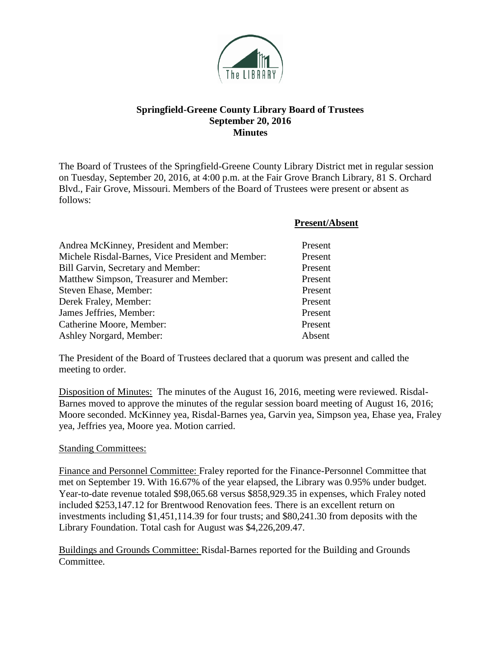

### **Springfield-Greene County Library Board of Trustees September 20, 2016 Minutes**

The Board of Trustees of the Springfield-Greene County Library District met in regular session on Tuesday, September 20, 2016, at 4:00 p.m. at the Fair Grove Branch Library, 81 S. Orchard Blvd., Fair Grove, Missouri. Members of the Board of Trustees were present or absent as follows:

|                                                   | <b>Present/Absent</b> |
|---------------------------------------------------|-----------------------|
| Andrea McKinney, President and Member:            | Present               |
| Michele Risdal-Barnes, Vice President and Member: | Present               |
| Bill Garvin, Secretary and Member:                | Present               |
| Matthew Simpson, Treasurer and Member:            | Present               |
| Steven Ehase, Member:                             | Present               |
| Derek Fraley, Member:                             | Present               |
| James Jeffries, Member:                           | Present               |
| Catherine Moore, Member:                          | Present               |
| Ashley Norgard, Member:                           | Absent                |

The President of the Board of Trustees declared that a quorum was present and called the meeting to order.

Disposition of Minutes: The minutes of the August 16, 2016, meeting were reviewed. Risdal-Barnes moved to approve the minutes of the regular session board meeting of August 16, 2016; Moore seconded. McKinney yea, Risdal-Barnes yea, Garvin yea, Simpson yea, Ehase yea, Fraley yea, Jeffries yea, Moore yea. Motion carried.

### Standing Committees:

Finance and Personnel Committee: Fraley reported for the Finance-Personnel Committee that met on September 19. With 16.67% of the year elapsed, the Library was 0.95% under budget. Year-to-date revenue totaled \$98,065.68 versus \$858,929.35 in expenses, which Fraley noted included \$253,147.12 for Brentwood Renovation fees. There is an excellent return on investments including \$1,451,114.39 for four trusts; and \$80,241.30 from deposits with the Library Foundation. Total cash for August was \$4,226,209.47.

Buildings and Grounds Committee: Risdal-Barnes reported for the Building and Grounds Committee.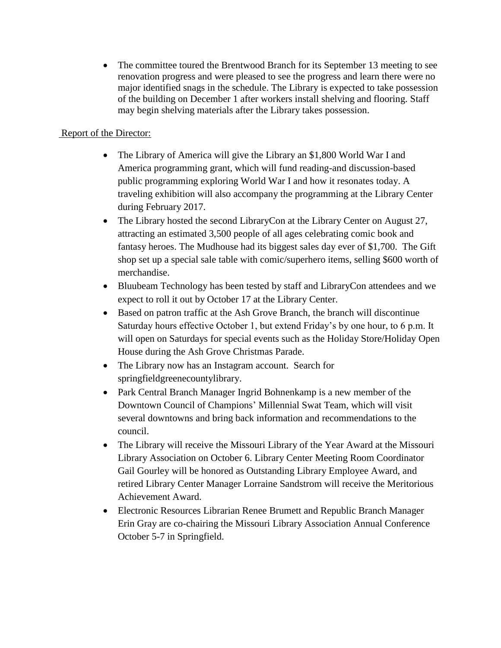• The committee toured the Brentwood Branch for its September 13 meeting to see renovation progress and were pleased to see the progress and learn there were no major identified snags in the schedule. The Library is expected to take possession of the building on December 1 after workers install shelving and flooring. Staff may begin shelving materials after the Library takes possession.

# Report of the Director:

- The Library of America will give the Library an \$1,800 World War I and America programming grant, which will fund reading-and discussion-based public programming exploring World War I and how it resonates today. A traveling exhibition will also accompany the programming at the Library Center during February 2017.
- The Library hosted the second LibraryCon at the Library Center on August 27, attracting an estimated 3,500 people of all ages celebrating comic book and fantasy heroes. The Mudhouse had its biggest sales day ever of \$1,700. The Gift shop set up a special sale table with comic/superhero items, selling \$600 worth of merchandise.
- Bluubeam Technology has been tested by staff and LibraryCon attendees and we expect to roll it out by October 17 at the Library Center.
- Based on patron traffic at the Ash Grove Branch, the branch will discontinue Saturday hours effective October 1, but extend Friday's by one hour, to 6 p.m. It will open on Saturdays for special events such as the Holiday Store/Holiday Open House during the Ash Grove Christmas Parade.
- The Library now has an Instagram account. Search for springfieldgreenecountylibrary.
- Park Central Branch Manager Ingrid Bohnenkamp is a new member of the Downtown Council of Champions' Millennial Swat Team, which will visit several downtowns and bring back information and recommendations to the council.
- The Library will receive the Missouri Library of the Year Award at the Missouri Library Association on October 6. Library Center Meeting Room Coordinator Gail Gourley will be honored as Outstanding Library Employee Award, and retired Library Center Manager Lorraine Sandstrom will receive the Meritorious Achievement Award.
- Electronic Resources Librarian Renee Brumett and Republic Branch Manager Erin Gray are co-chairing the Missouri Library Association Annual Conference October 5-7 in Springfield.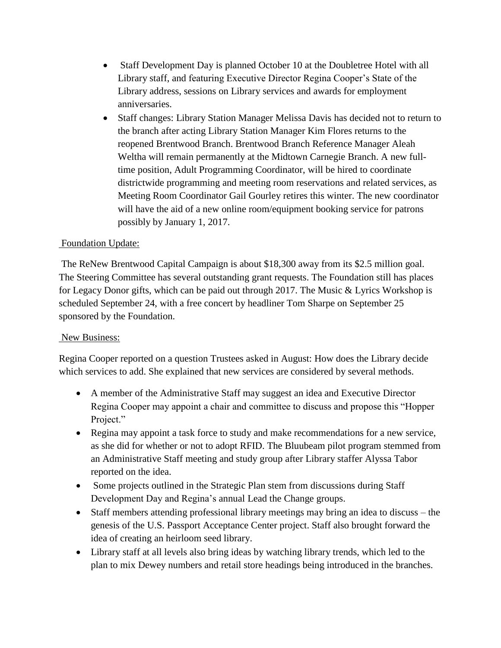- Staff Development Day is planned October 10 at the Doubletree Hotel with all Library staff, and featuring Executive Director Regina Cooper's State of the Library address, sessions on Library services and awards for employment anniversaries.
- Staff changes: Library Station Manager Melissa Davis has decided not to return to the branch after acting Library Station Manager Kim Flores returns to the reopened Brentwood Branch. Brentwood Branch Reference Manager Aleah Weltha will remain permanently at the Midtown Carnegie Branch. A new fulltime position, Adult Programming Coordinator, will be hired to coordinate districtwide programming and meeting room reservations and related services, as Meeting Room Coordinator Gail Gourley retires this winter. The new coordinator will have the aid of a new online room/equipment booking service for patrons possibly by January 1, 2017.

## Foundation Update:

The ReNew Brentwood Capital Campaign is about \$18,300 away from its \$2.5 million goal. The Steering Committee has several outstanding grant requests. The Foundation still has places for Legacy Donor gifts, which can be paid out through 2017. The Music & Lyrics Workshop is scheduled September 24, with a free concert by headliner Tom Sharpe on September 25 sponsored by the Foundation.

### New Business:

Regina Cooper reported on a question Trustees asked in August: How does the Library decide which services to add. She explained that new services are considered by several methods.

- A member of the Administrative Staff may suggest an idea and Executive Director Regina Cooper may appoint a chair and committee to discuss and propose this "Hopper Project."
- Regina may appoint a task force to study and make recommendations for a new service, as she did for whether or not to adopt RFID. The Bluubeam pilot program stemmed from an Administrative Staff meeting and study group after Library staffer Alyssa Tabor reported on the idea.
- Some projects outlined in the Strategic Plan stem from discussions during Staff Development Day and Regina's annual Lead the Change groups.
- Staff members attending professional library meetings may bring an idea to discuss the genesis of the U.S. Passport Acceptance Center project. Staff also brought forward the idea of creating an heirloom seed library.
- Library staff at all levels also bring ideas by watching library trends, which led to the plan to mix Dewey numbers and retail store headings being introduced in the branches.